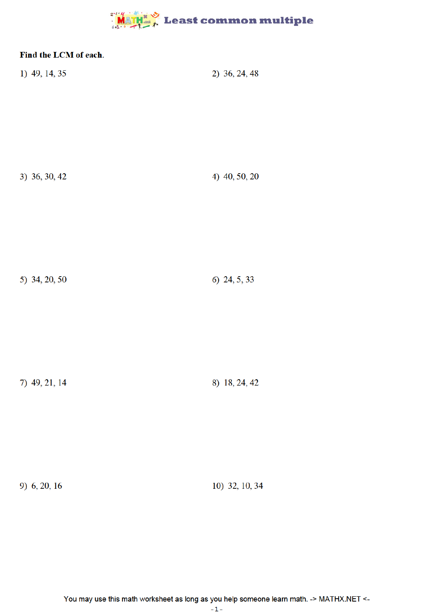## $\frac{1}{2}$  Math  $\frac{1}{2}$  Least common multiple

| Find the LCM of each.<br>1) 49, 14, 35 | 2) 36, 24, 48  |
|----------------------------------------|----------------|
| 3) 36, 30, 42                          | 4) 40, 50, 20  |
| 5) 34, 20, 50                          | 6) 24, 5, 33   |
| 7) 49, 21, 14                          | 8) 18, 24, 42  |
| 9) $6, 20, 16$                         | 10) 32, 10, 34 |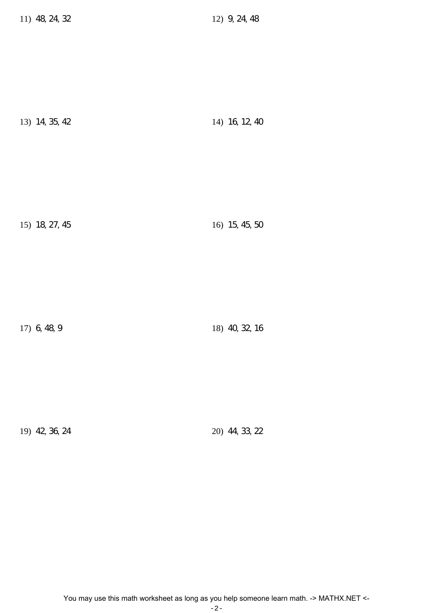| 13) 14, 35, 42 | 14) 16, 12, 40 |
|----------------|----------------|
|----------------|----------------|

15) 18, 27, 45 16) 15, 45, 50

17) 6, 48, 9 18) 40, 32, 16

19) 42, 36, 24 20) 44, 33, 22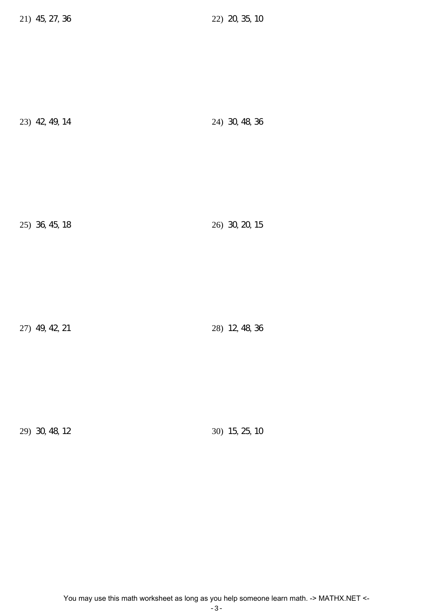| 23) 42, 49, 14 |  | 24) 30, 48, 36 |  |
|----------------|--|----------------|--|
|----------------|--|----------------|--|

25) 36, 45, 18 26) 30, 20, 15

27) 49, 42, 21 28) 12, 48, 36

29) 30, 48, 12 30) 15, 25, 10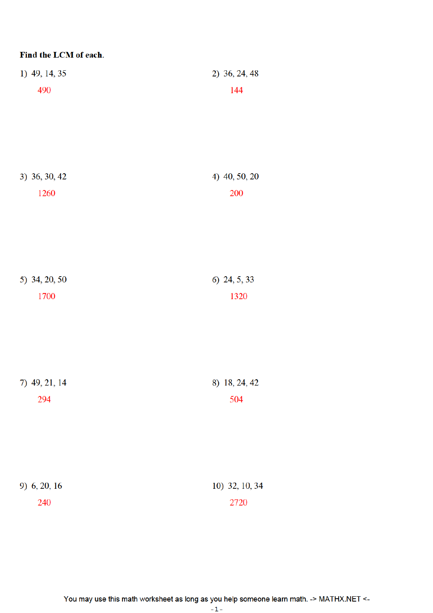| Find the LCM of each. |                      |
|-----------------------|----------------------|
| 1) 49, 14, 35         | 2) 36, 24, 48        |
| 490                   | 144                  |
|                       |                      |
|                       |                      |
|                       |                      |
|                       |                      |
| 3) 36, 30, 42         | 4) 40, 50, 20        |
| 1260                  | <b>200</b>           |
|                       |                      |
|                       |                      |
|                       |                      |
|                       |                      |
| 5) 34, 20, 50<br>1700 | 6) 24, 5, 33<br>1320 |
|                       |                      |
|                       |                      |
|                       |                      |
|                       |                      |
| 7) 49, 21, 14         | 8) 18, 24, 42        |
| 294                   | 504                  |
|                       |                      |
|                       |                      |
|                       |                      |
|                       |                      |
| 9) 6, 20, 16          | 10) 32, 10, 34       |
| 240                   | 2720                 |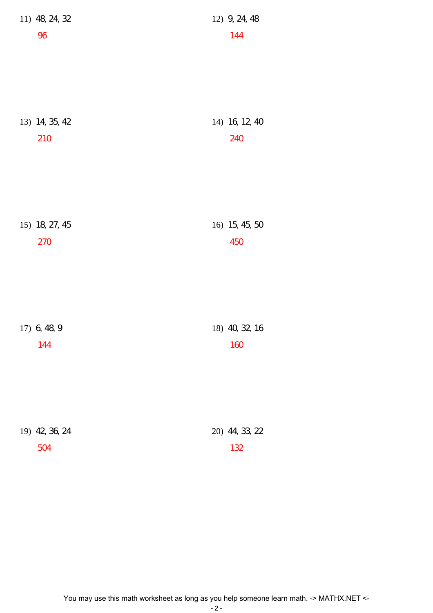| 11) 48, 24, 32 | 12) 9, 24, 48  |
|----------------|----------------|
| 96             | 144            |
|                |                |
|                |                |
|                |                |
|                |                |
| 13) 14, 35, 42 | 14) 16, 12, 40 |
| 210            | 240            |
|                |                |
|                |                |
|                |                |
|                |                |
|                |                |
| 15) 18, 27, 45 | 16) 15, 45, 50 |
| 270            | 450            |
|                |                |
|                |                |
|                |                |
|                |                |
| 17) 6, 48, 9   | 18) 40, 32, 16 |
| 144            | 160            |
|                |                |
|                |                |
|                |                |
|                |                |
| 19) 42, 36, 24 | 20) 44, 33, 22 |
| 504            | 132            |
|                |                |